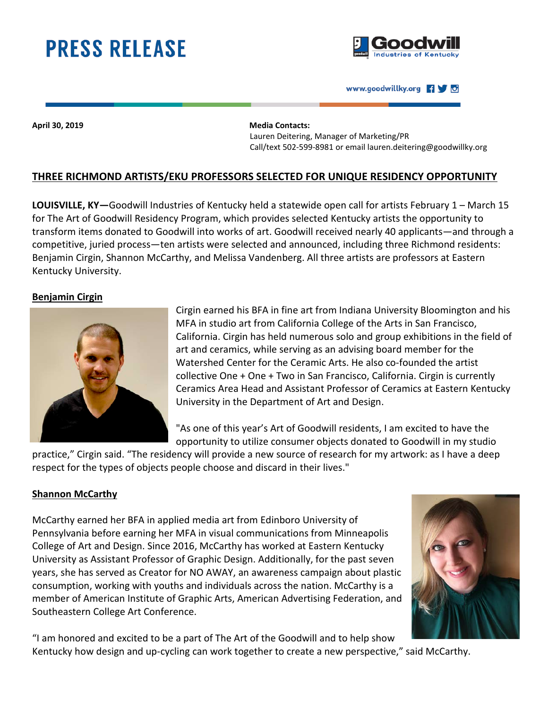# **PRESS RELEASE**



#### www.goodwillky.org 190

**April 30, 2019 Media Contacts:**

 Lauren Deitering, Manager of Marketing/PR Call/text 502-599-8981 or email lauren.deitering@goodwillky.org

# **THREE RICHMOND ARTISTS/EKU PROFESSORS SELECTED FOR UNIQUE RESIDENCY OPPORTUNITY**

**LOUISVILLE, KY—**Goodwill Industries of Kentucky held a statewide open call for artists February 1 – March 15 for The Art of Goodwill Residency Program, which provides selected Kentucky artists the opportunity to transform items donated to Goodwill into works of art. Goodwill received nearly 40 applicants—and through a competitive, juried process—ten artists were selected and announced, including three Richmond residents: Benjamin Cirgin, Shannon McCarthy, and Melissa Vandenberg. All three artists are professors at Eastern Kentucky University.

## **Benjamin Cirgin**



Cirgin earned his BFA in fine art from Indiana University Bloomington and his MFA in studio art from California College of the Arts in San Francisco, California. Cirgin has held numerous solo and group exhibitions in the field of art and ceramics, while serving as an advising board member for the Watershed Center for the Ceramic Arts. He also co-founded the artist collective One + One + Two in San Francisco, California. Cirgin is currently Ceramics Area Head and Assistant Professor of Ceramics at Eastern Kentucky University in the Department of Art and Design.

"As one of this year's Art of Goodwill residents, I am excited to have the opportunity to utilize consumer objects donated to Goodwill in my studio

practice," Cirgin said. "The residency will provide a new source of research for my artwork: as I have a deep respect for the types of objects people choose and discard in their lives."

## **Shannon McCarthy**

McCarthy earned her BFA in applied media art from Edinboro University of Pennsylvania before earning her MFA in visual communications from Minneapolis College of Art and Design. Since 2016, McCarthy has worked at Eastern Kentucky University as Assistant Professor of Graphic Design. Additionally, for the past seven years, she has served as Creator for NO AWAY, an awareness campaign about plastic consumption, working with youths and individuals across the nation. McCarthy is a member of American Institute of Graphic Arts, American Advertising Federation, and Southeastern College Art Conference.



"I am honored and excited to be a part of The Art of the Goodwill and to help show Kentucky how design and up-cycling can work together to create a new perspective," said McCarthy.